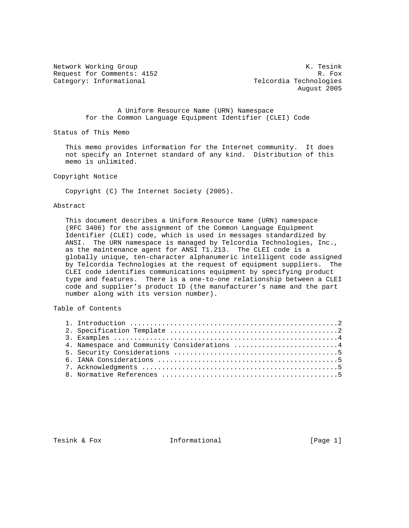Request for Comments: 4152 R. Fox Category: Informational Telcordia Technologies

Network Working Group and the set of the set of the set of the set of the set of the set of the set of the set o August 2005

> A Uniform Resource Name (URN) Namespace for the Common Language Equipment Identifier (CLEI) Code

Status of This Memo

 This memo provides information for the Internet community. It does not specify an Internet standard of any kind. Distribution of this memo is unlimited.

Copyright Notice

Copyright (C) The Internet Society (2005).

## Abstract

 This document describes a Uniform Resource Name (URN) namespace (RFC 3406) for the assignment of the Common Language Equipment Identifier (CLEI) code, which is used in messages standardized by ANSI. The URN namespace is managed by Telcordia Technologies, Inc., as the maintenance agent for ANSI T1.213. The CLEI code is a globally unique, ten-character alphanumeric intelligent code assigned by Telcordia Technologies at the request of equipment suppliers. The CLEI code identifies communications equipment by specifying product type and features. There is a one-to-one relationship between a CLEI code and supplier's product ID (the manufacturer's name and the part number along with its version number).

Table of Contents

| 4. Namespace and Community Considerations 4 |
|---------------------------------------------|
|                                             |
|                                             |
|                                             |
|                                             |

Tesink & Fox **Informational** [Page 1]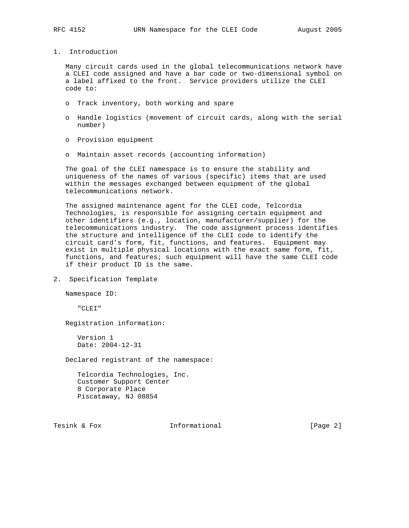1. Introduction

 Many circuit cards used in the global telecommunications network have a CLEI code assigned and have a bar code or two-dimensional symbol on a label affixed to the front. Service providers utilize the CLEI code to:

- o Track inventory, both working and spare
- o Handle logistics (movement of circuit cards, along with the serial number)
- o Provision equipment
- o Maintain asset records (accounting information)

 The goal of the CLEI namespace is to ensure the stability and uniqueness of the names of various (specific) items that are used within the messages exchanged between equipment of the global telecommunications network.

 The assigned maintenance agent for the CLEI code, Telcordia Technologies, is responsible for assigning certain equipment and other identifiers (e.g., location, manufacturer/supplier) for the telecommunications industry. The code assignment process identifies the structure and intelligence of the CLEI code to identify the circuit card's form, fit, functions, and features. Equipment may exist in multiple physical locations with the exact same form, fit, functions, and features; such equipment will have the same CLEI code if their product ID is the same.

2. Specification Template

Namespace ID:

"CLEI"

Registration information:

 Version 1 Date: 2004-12-31

Declared registrant of the namespace:

 Telcordia Technologies, Inc. Customer Support Center 8 Corporate Place Piscataway, NJ 08854

Tesink & Fox **Informational** [Page 2]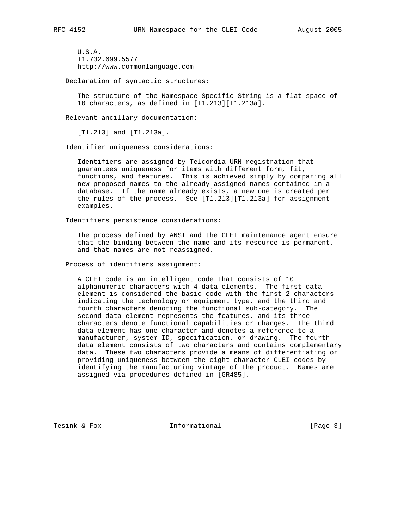U.S.A. +1.732.699.5577 http://www.commonlanguage.com

Declaration of syntactic structures:

 The structure of the Namespace Specific String is a flat space of 10 characters, as defined in [T1.213][T1.213a].

Relevant ancillary documentation:

[T1.213] and [T1.213a].

Identifier uniqueness considerations:

 Identifiers are assigned by Telcordia URN registration that guarantees uniqueness for items with different form, fit, functions, and features. This is achieved simply by comparing all new proposed names to the already assigned names contained in a database. If the name already exists, a new one is created per the rules of the process. See [T1.213][T1.213a] for assignment examples.

Identifiers persistence considerations:

 The process defined by ANSI and the CLEI maintenance agent ensure that the binding between the name and its resource is permanent, and that names are not reassigned.

Process of identifiers assignment:

 A CLEI code is an intelligent code that consists of 10 alphanumeric characters with 4 data elements. The first data element is considered the basic code with the first 2 characters indicating the technology or equipment type, and the third and fourth characters denoting the functional sub-category. The second data element represents the features, and its three characters denote functional capabilities or changes. The third data element has one character and denotes a reference to a manufacturer, system ID, specification, or drawing. The fourth data element consists of two characters and contains complementary data. These two characters provide a means of differentiating or providing uniqueness between the eight character CLEI codes by identifying the manufacturing vintage of the product. Names are assigned via procedures defined in [GR485].

Tesink & Fox **Informational** [Page 3]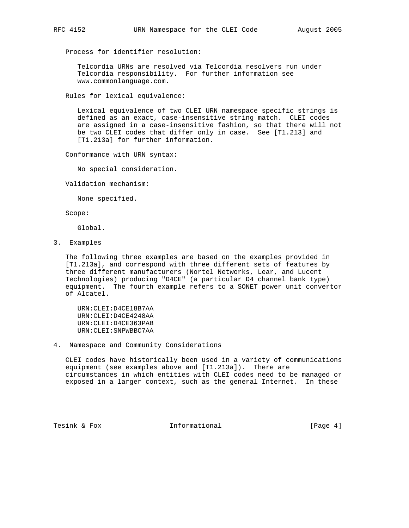Process for identifier resolution:

 Telcordia URNs are resolved via Telcordia resolvers run under Telcordia responsibility. For further information see www.commonlanguage.com.

Rules for lexical equivalence:

 Lexical equivalence of two CLEI URN namespace specific strings is defined as an exact, case-insensitive string match. CLEI codes are assigned in a case-insensitive fashion, so that there will not be two CLEI codes that differ only in case. See [T1.213] and [T1.213a] for further information.

Conformance with URN syntax:

No special consideration.

Validation mechanism:

None specified.

Scope:

Global.

3. Examples

 The following three examples are based on the examples provided in [T1.213a], and correspond with three different sets of features by three different manufacturers (Nortel Networks, Lear, and Lucent Technologies) producing "D4CE" (a particular D4 channel bank type) equipment. The fourth example refers to a SONET power unit convertor of Alcatel.

 URN:CLEI:D4CE18B7AA URN:CLEI:D4CE4248AA URN:CLEI:D4CE363PAB URN:CLEI:SNPWBBC7AA

4. Namespace and Community Considerations

 CLEI codes have historically been used in a variety of communications equipment (see examples above and [T1.213a]). There are circumstances in which entities with CLEI codes need to be managed or exposed in a larger context, such as the general Internet. In these

Tesink & Fox **Informational** [Page 4]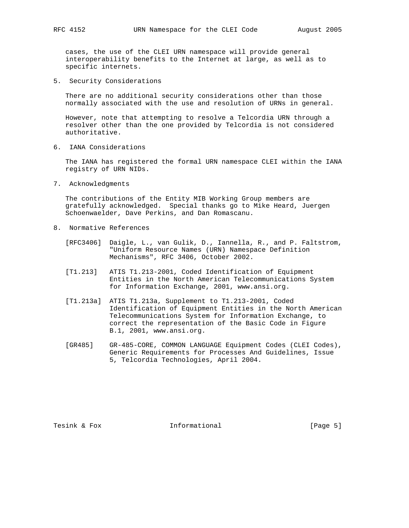cases, the use of the CLEI URN namespace will provide general interoperability benefits to the Internet at large, as well as to specific internets.

5. Security Considerations

 There are no additional security considerations other than those normally associated with the use and resolution of URNs in general.

 However, note that attempting to resolve a Telcordia URN through a resolver other than the one provided by Telcordia is not considered authoritative.

6. IANA Considerations

 The IANA has registered the formal URN namespace CLEI within the IANA registry of URN NIDs.

7. Acknowledgments

 The contributions of the Entity MIB Working Group members are gratefully acknowledged. Special thanks go to Mike Heard, Juergen Schoenwaelder, Dave Perkins, and Dan Romascanu.

- 8. Normative References
	- [RFC3406] Daigle, L., van Gulik, D., Iannella, R., and P. Faltstrom, "Uniform Resource Names (URN) Namespace Definition Mechanisms", RFC 3406, October 2002.
	- [T1.213] ATIS T1.213-2001, Coded Identification of Equipment Entities in the North American Telecommunications System for Information Exchange, 2001, www.ansi.org.
	- [T1.213a] ATIS T1.213a, Supplement to T1.213-2001, Coded Identification of Equipment Entities in the North American Telecommunications System for Information Exchange, to correct the representation of the Basic Code in Figure B.1, 2001, www.ansi.org.
	- [GR485] GR-485-CORE, COMMON LANGUAGE Equipment Codes (CLEI Codes), Generic Requirements for Processes And Guidelines, Issue 5, Telcordia Technologies, April 2004.

Tesink & Fox **Informational** [Page 5]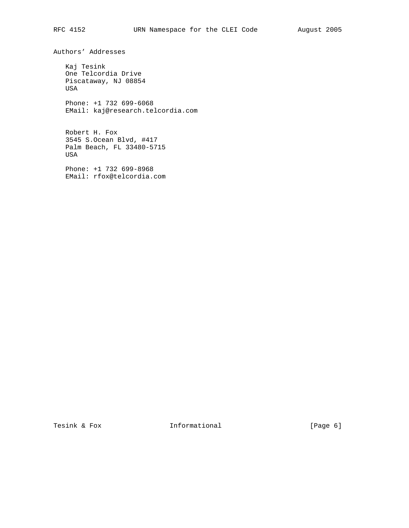Authors' Addresses

 Kaj Tesink One Telcordia Drive Piscataway, NJ 08854 USA Phone: +1 732 699-6068

EMail: kaj@research.telcordia.com

 Robert H. Fox 3545 S.Ocean Blvd, #417 Palm Beach, FL 33480-5715 USA

 Phone: +1 732 699-8968 EMail: rfox@telcordia.com